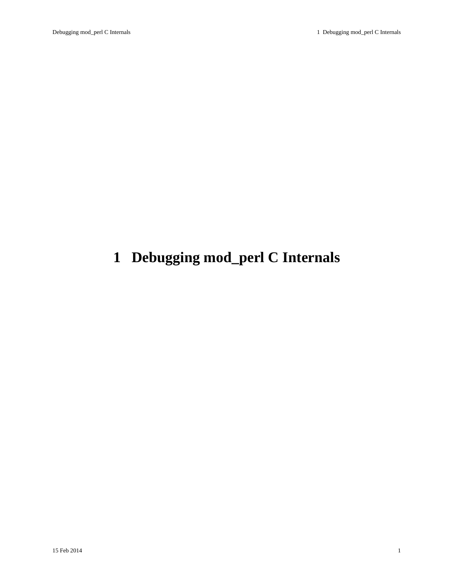# <span id="page-0-0"></span>**1 Debugging mod\_perl C Internals**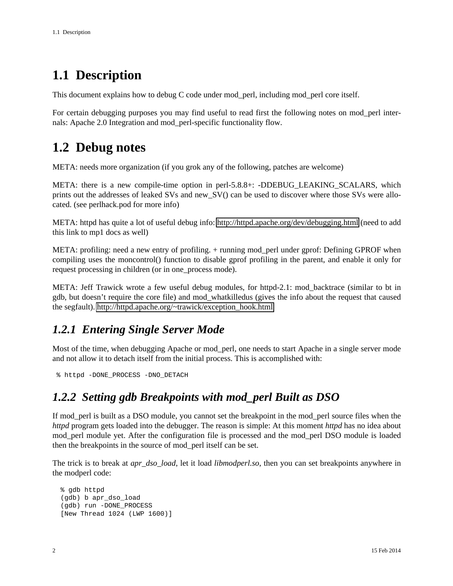# <span id="page-1-0"></span>**1.1 Description**

This document explains how to debug C code under mod\_perl, including mod\_perl core itself.

For certain debugging purposes you may find useful to read first the following notes on mod\_perl internals: Apache 2.0 Integration and mod\_perl-specific functionality flow.

# <span id="page-1-1"></span>**1.2 Debug notes**

META: needs more organization (if you grok any of the following, patches are welcome)

META: there is a new compile-time option in perl-5.8.8+: -DDEBUG\_LEAKING\_SCALARS, which prints out the addresses of leaked SVs and new\_SV() can be used to discover where those SVs were allocated. (see perlhack.pod for more info)

META: httpd has quite a lot of useful debug info:<http://httpd.apache.org/dev/debugging.html>(need to add this link to mp1 docs as well)

META: profiling: need a new entry of profiling. + running mod\_perl under gprof: Defining GPROF when compiling uses the moncontrol() function to disable gprof profiling in the parent, and enable it only for request processing in children (or in one\_process mode).

META: Jeff Trawick wrote a few useful debug modules, for httpd-2.1: mod\_backtrace (similar to bt in gdb, but doesn't require the core file) and mod\_whatkilledus (gives the info about the request that caused the segfault). [http://httpd.apache.org/~trawick/exception\\_hook.html](http://httpd.apache.org/~trawick/exception_hook.html)

## <span id="page-1-2"></span>*1.2.1 Entering Single Server Mode*

Most of the time, when debugging Apache or mod\_perl, one needs to start Apache in a single server mode and not allow it to detach itself from the initial process. This is accomplished with:

```
 % httpd -DONE_PROCESS -DNO_DETACH
```
### <span id="page-1-3"></span>*1.2.2 Setting gdb Breakpoints with mod\_perl Built as DSO*

If mod\_perl is built as a DSO module, you cannot set the breakpoint in the mod\_perl source files when the *httpd* program gets loaded into the debugger. The reason is simple: At this moment *httpd* has no idea about mod\_perl module yet. After the configuration file is processed and the mod\_perl DSO module is loaded then the breakpoints in the source of mod\_perl itself can be set.

The trick is to break at *apr\_dso\_load*, let it load *libmodperl.so*, then you can set breakpoints anywhere in the modperl code:

```
 % gdb httpd
 (gdb) b apr_dso_load
 (gdb) run -DONE_PROCESS
 [New Thread 1024 (LWP 1600)]
```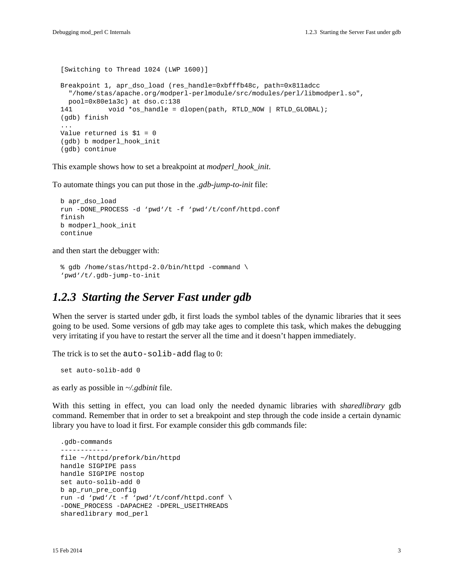```
 [Switching to Thread 1024 (LWP 1600)]
 Breakpoint 1, apr_dso_load (res_handle=0xbfffb48c, path=0x811adcc
   "/home/stas/apache.org/modperl-perlmodule/src/modules/perl/libmodperl.so",
  pool=0x80e1a3c) at dso.c:138
 141 void *os_handle = dlopen(path, RTLD_NOW | RTLD_GLOBAL);
 (gdb) finish
 ...
 Value returned is $1 = 0
 (gdb) b modperl_hook_init
 (gdb) continue
```
This example shows how to set a breakpoint at *modperl\_hook\_init*.

To automate things you can put those in the *.gdb-jump-to-init* file:

```
 b apr_dso_load
 run -DONE_PROCESS -d 'pwd'/t -f 'pwd'/t/conf/httpd.conf
 finish
 b modperl_hook_init
 continue
```
and then start the debugger with:

```
 % gdb /home/stas/httpd-2.0/bin/httpd -command \
 'pwd'/t/.gdb-jump-to-init
```
### <span id="page-2-0"></span>*1.2.3 Starting the Server Fast under gdb*

When the server is started under gdb, it first loads the symbol tables of the dynamic libraries that it sees going to be used. Some versions of gdb may take ages to complete this task, which makes the debugging very irritating if you have to restart the server all the time and it doesn't happen immediately.

The trick is to set the auto-solib-add flag to 0:

```
 set auto-solib-add 0
```
as early as possible in *~/.gdbinit* file.

With this setting in effect, you can load only the needed dynamic libraries with *sharedlibrary* gdb command. Remember that in order to set a breakpoint and step through the code inside a certain dynamic library you have to load it first. For example consider this gdb commands file:

```
 .gdb-commands
 ------------
 file ~/httpd/prefork/bin/httpd
 handle SIGPIPE pass
 handle SIGPIPE nostop
 set auto-solib-add 0
 b ap_run_pre_config
 run -d 'pwd'/t -f 'pwd'/t/conf/httpd.conf \
-DONE_PROCESS -DAPACHE2 -DPERL_USEITHREADS
 sharedlibrary mod_perl
```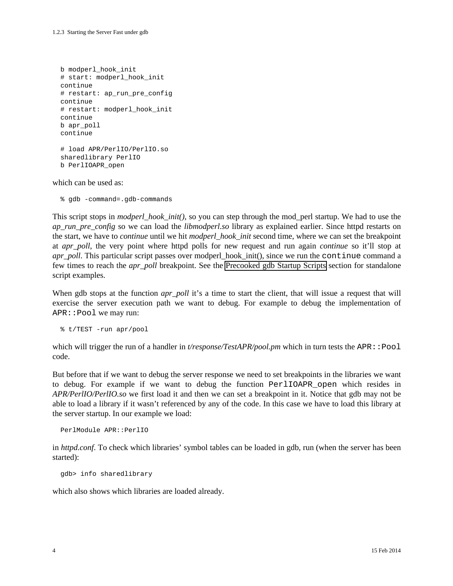```
 b modperl_hook_init
 # start: modperl_hook_init
 continue
 # restart: ap_run_pre_config
 continue
 # restart: modperl_hook_init
 continue
 b apr_poll
 continue
 # load APR/PerlIO/PerlIO.so
 sharedlibrary PerlIO
 b PerlIOAPR_open
```
which can be used as:

% gdb -command=.gdb-commands

This script stops in *modperl\_hook\_init()*, so you can step through the mod\_perl startup. We had to use the *ap\_run\_pre\_config* so we can load the *libmodperl.so* library as explained earlier. Since httpd restarts on the start, we have to *continue* until we hit *modperl\_hook\_init* second time, where we can set the breakpoint at *apr\_poll*, the very point where httpd polls for new request and run again *continue* so it'll stop at *apr\_poll*. This particular script passes over modperl\_hook\_init(), since we run the continue command a few times to reach the *apr\_poll* breakpoint. See the Precooked gdb Startup Scripts section for standalone script examples.

When gdb stops at the function *apr\_poll* it's a time to start the client, that will issue a request that will exercise the server execution path we want to debug. For example to debug the implementation of APR::Pool we may run:

% t/TEST -run apr/pool

which will trigger the run of a handler in *t/response/TestAPR/pool.pm* which in turn tests the APR::Pool code.

But before that if we want to debug the server response we need to set breakpoints in the libraries we want to debug. For example if we want to debug the function PerlIOAPR\_open which resides in *APR/PerlIO/PerlIO.so* we first load it and then we can set a breakpoint in it. Notice that gdb may not be able to load a library if it wasn't referenced by any of the code. In this case we have to load this library at the server startup. In our example we load:

PerlModule APR::PerlIO

in *httpd.conf*. To check which libraries' symbol tables can be loaded in gdb, run (when the server has been started):

gdb> info sharedlibrary

which also shows which libraries are loaded already.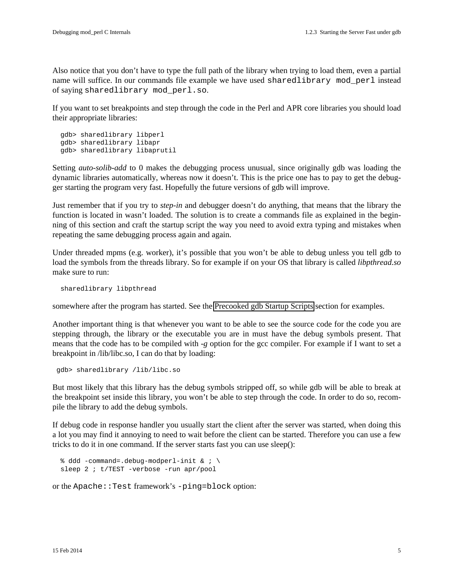Also notice that you don't have to type the full path of the library when trying to load them, even a partial name will suffice. In our commands file example we have used sharedlibrary mod\_perl instead of saying sharedlibrary mod\_perl.so.

If you want to set breakpoints and step through the code in the Perl and APR core libraries you should load their appropriate libraries:

 gdb> sharedlibrary libperl gdb> sharedlibrary libapr gdb> sharedlibrary libaprutil

Setting *auto-solib-add* to 0 makes the debugging process unusual, since originally gdb was loading the dynamic libraries automatically, whereas now it doesn't. This is the price one has to pay to get the debugger starting the program very fast. Hopefully the future versions of gdb will improve.

Just remember that if you try to *step-in* and debugger doesn't do anything, that means that the library the function is located in wasn't loaded. The solution is to create a commands file as explained in the beginning of this section and craft the startup script the way you need to avoid extra typing and mistakes when repeating the same debugging process again and again.

Under threaded mpms (e.g. worker), it's possible that you won't be able to debug unless you tell gdb to load the symbols from the threads library. So for example if on your OS that library is called *libpthread.so* make sure to run:

sharedlibrary libpthread

somewhere after the program has started. See the Precooked gdb Startup Scripts section for examples.

Another important thing is that whenever you want to be able to see the source code for the code you are stepping through, the library or the executable you are in must have the debug symbols present. That means that the code has to be compiled with *-g* option for the gcc compiler. For example if I want to set a breakpoint in /lib/libc.so, I can do that by loading:

gdb> sharedlibrary /lib/libc.so

But most likely that this library has the debug symbols stripped off, so while gdb will be able to break at the breakpoint set inside this library, you won't be able to step through the code. In order to do so, recompile the library to add the debug symbols.

If debug code in response handler you usually start the client after the server was started, when doing this a lot you may find it annoying to need to wait before the client can be started. Therefore you can use a few tricks to do it in one command. If the server starts fast you can use sleep():

```
 % ddd -command=.debug-modperl-init & ; \
 sleep 2 ; t/TEST -verbose -run apr/pool
```
or the Apache::Test framework's -ping=block option: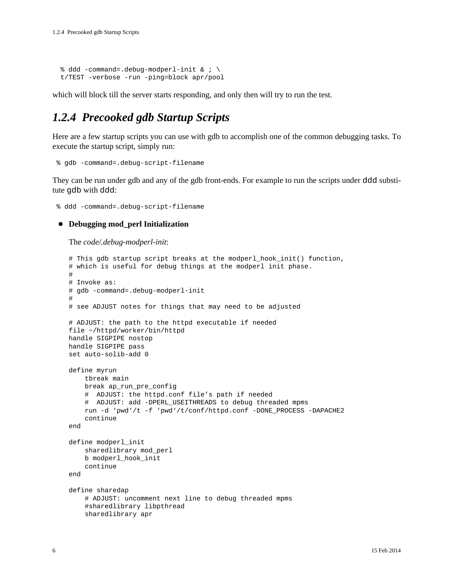```
 % ddd -command=.debug-modperl-init & ; \
 t/TEST -verbose -run -ping=block apr/pool
```
which will block till the server starts responding, and only then will try to run the test.

## <span id="page-5-0"></span>*1.2.4 Precooked gdb Startup Scripts*

Here are a few startup scripts you can use with gdb to accomplish one of the common debugging tasks. To execute the startup script, simply run:

```
 % gdb -command=.debug-script-filename
```
They can be run under gdb and any of the gdb front-ends. For example to run the scripts under ddd substitute gdb with ddd:

% ddd -command=.debug-script-filename

### **Debugging mod\_perl Initialization**

The *code/.debug-modperl-init*:

```
# This gdb startup script breaks at the modperl_hook_init() function,
# which is useful for debug things at the modperl init phase.
#
# Invoke as:
# gdb -command=.debug-modperl-init
#
# see ADJUST notes for things that may need to be adjusted
# ADJUST: the path to the httpd executable if needed
file ~/httpd/worker/bin/httpd
handle SIGPIPE nostop
handle SIGPIPE pass
set auto-solib-add 0
define myrun
     tbreak main
     break ap_run_pre_config
     # ADJUST: the httpd.conf file's path if needed
     # ADJUST: add -DPERL_USEITHREADS to debug threaded mpms
     run -d 'pwd'/t -f 'pwd'/t/conf/httpd.conf -DONE_PROCESS -DAPACHE2
     continue
end
define modperl_init
     sharedlibrary mod_perl
     b modperl_hook_init
     continue
end
define sharedap
     # ADJUST: uncomment next line to debug threaded mpms
     #sharedlibrary libpthread
     sharedlibrary apr
```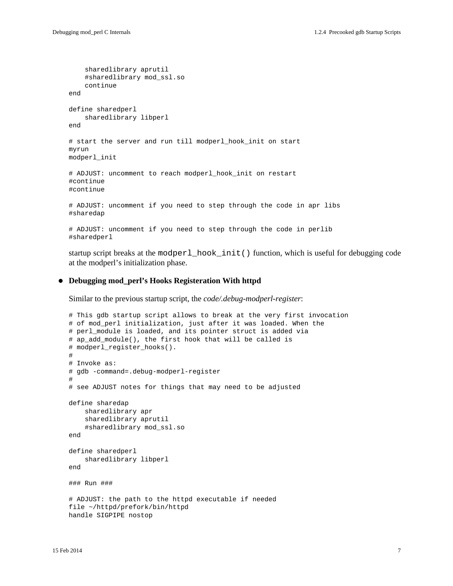```
 sharedlibrary aprutil
     #sharedlibrary mod_ssl.so
     continue
end
define sharedperl
     sharedlibrary libperl
end
# start the server and run till modperl_hook_init on start
myrun
modperl_init
# ADJUST: uncomment to reach modperl_hook_init on restart
#continue
#continue
# ADJUST: uncomment if you need to step through the code in apr libs
#sharedap
# ADJUST: uncomment if you need to step through the code in perlib
#sharedperl
```
startup script breaks at the modperl hook init() function, which is useful for debugging code at the modperl's initialization phase.

### **Debugging mod\_perl's Hooks Registeration With httpd**

Similar to the previous startup script, the *code/.debug-modperl-register*:

```
# This gdb startup script allows to break at the very first invocation
# of mod_perl initialization, just after it was loaded. When the
# perl_module is loaded, and its pointer struct is added via
# ap_add_module(), the first hook that will be called is
# modperl_register_hooks().
#
# Invoke as:
# gdb -command=.debug-modperl-register
#
# see ADJUST notes for things that may need to be adjusted
define sharedap
     sharedlibrary apr
     sharedlibrary aprutil
     #sharedlibrary mod_ssl.so
end
define sharedperl
     sharedlibrary libperl
end
### Run ###
# ADJUST: the path to the httpd executable if needed
file ~/httpd/prefork/bin/httpd
handle SIGPIPE nostop
```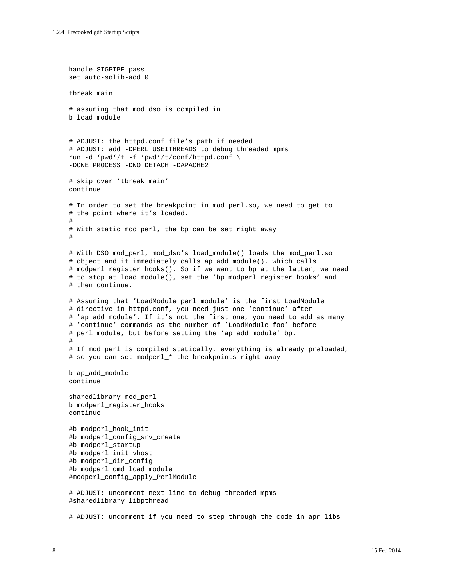```
handle SIGPIPE pass
set auto-solib-add 0
tbreak main
# assuming that mod_dso is compiled in
b load_module 
# ADJUST: the httpd.conf file's path if needed
# ADJUST: add -DPERL_USEITHREADS to debug threaded mpms
run -d 'pwd'/t -f 'pwd'/t/conf/httpd.conf \
-DONE_PROCESS -DNO_DETACH -DAPACHE2
# skip over 'tbreak main'
continue
# In order to set the breakpoint in mod_perl.so, we need to get to
# the point where it's loaded.
#
# With static mod_perl, the bp can be set right away
#
# With DSO mod_perl, mod_dso's load_module() loads the mod_perl.so
# object and it immediately calls ap_add_module(), which calls
# modperl_register_hooks(). So if we want to bp at the latter, we need
# to stop at load_module(), set the 'bp modperl_register_hooks' and
# then continue.
# Assuming that 'LoadModule perl_module' is the first LoadModule
# directive in httpd.conf, you need just one 'continue' after
# 'ap_add_module'. If it's not the first one, you need to add as many
# 'continue' commands as the number of 'LoadModule foo' before
# perl_module, but before setting the 'ap_add_module' bp.
#
# If mod_perl is compiled statically, everything is already preloaded,
# so you can set modperl_* the breakpoints right away
b ap_add_module
continue
sharedlibrary mod_perl
b modperl_register_hooks
continue
#b modperl_hook_init
#b modperl_config_srv_create
#b modperl_startup
#b modperl_init_vhost
#b modperl_dir_config
#b modperl_cmd_load_module
#modperl_config_apply_PerlModule
# ADJUST: uncomment next line to debug threaded mpms
#sharedlibrary libpthread
# ADJUST: uncomment if you need to step through the code in apr libs
```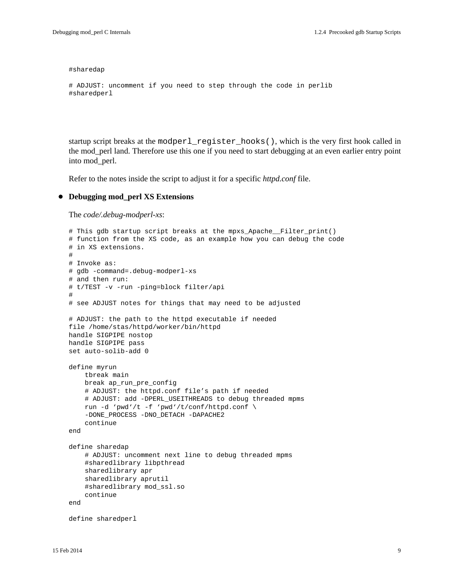#sharedap

```
# ADJUST: uncomment if you need to step through the code in perlib
#sharedperl
```
startup script breaks at the modperl\_register\_hooks(), which is the very first hook called in the mod\_perl land. Therefore use this one if you need to start debugging at an even earlier entry point into mod\_perl.

Refer to the notes inside the script to adjust it for a specific *httpd.conf* file.

### **Debugging mod\_perl XS Extensions**

The *code/.debug-modperl-xs*:

```
# This gdb startup script breaks at the mpxs_Apache__Filter_print()
# function from the XS code, as an example how you can debug the code
# in XS extensions.
#
# Invoke as:
# gdb -command=.debug-modperl-xs
# and then run: 
# t/TEST -v -run -ping=block filter/api
#
# see ADJUST notes for things that may need to be adjusted
# ADJUST: the path to the httpd executable if needed
file /home/stas/httpd/worker/bin/httpd
handle SIGPIPE nostop
handle SIGPIPE pass
set auto-solib-add 0
define myrun
     tbreak main
     break ap_run_pre_config
     # ADJUST: the httpd.conf file's path if needed
     # ADJUST: add -DPERL_USEITHREADS to debug threaded mpms
     run -d 'pwd'/t -f 'pwd'/t/conf/httpd.conf \
     -DONE_PROCESS -DNO_DETACH -DAPACHE2
     continue
end
define sharedap
     # ADJUST: uncomment next line to debug threaded mpms
     #sharedlibrary libpthread
     sharedlibrary apr
     sharedlibrary aprutil
     #sharedlibrary mod_ssl.so
     continue
end
define sharedperl
```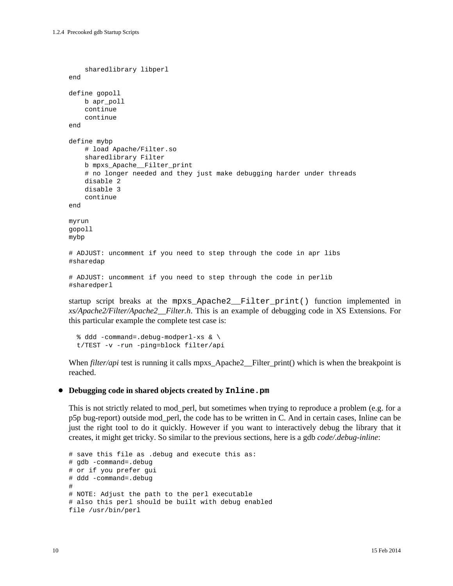```
 sharedlibrary libperl
end
define gopoll
    b apr_poll
     continue
     continue
end
define mybp
     # load Apache/Filter.so
     sharedlibrary Filter
     b mpxs_Apache__Filter_print
     # no longer needed and they just make debugging harder under threads
     disable 2
     disable 3
     continue
end
myrun
gopoll
mybp
# ADJUST: uncomment if you need to step through the code in apr libs
#sharedap
# ADJUST: uncomment if you need to step through the code in perlib
#sharedperl
```
startup script breaks at the mpxs\_Apache2\_\_Filter\_print() function implemented in *xs/Apache2/Filter/Apache2\_\_Filter.h*. This is an example of debugging code in XS Extensions. For this particular example the complete test case is:

```
 % ddd -command=.debug-modperl-xs & \
 t/TEST -v -run -ping=block filter/api
```
When *filter/api* test is running it calls mpxs\_Apache2\_\_Filter\_print() which is when the breakpoint is reached.

### **Debugging code in shared objects created by Inline.pm**

This is not strictly related to mod\_perl, but sometimes when trying to reproduce a problem (e.g. for a p5p bug-report) outside mod\_perl, the code has to be written in C. And in certain cases, Inline can be just the right tool to do it quickly. However if you want to interactively debug the library that it creates, it might get tricky. So similar to the previous sections, here is a gdb *code/.debug-inline*:

```
# save this file as .debug and execute this as:
# gdb -command=.debug
# or if you prefer gui
# ddd -command=.debug
#
# NOTE: Adjust the path to the perl executable
# also this perl should be built with debug enabled
file /usr/bin/perl
```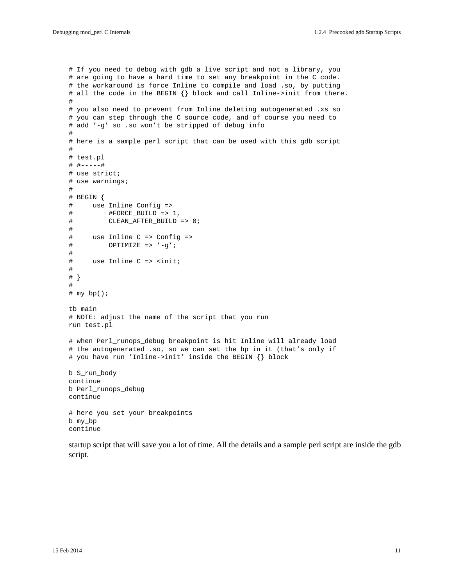```
# If you need to debug with gdb a live script and not a library, you
# are going to have a hard time to set any breakpoint in the C code.
# the workaround is force Inline to compile and load .so, by putting
# all the code in the BEGIN {} block and call Inline->init from there.
#
# you also need to prevent from Inline deleting autogenerated .xs so
# you can step through the C source code, and of course you need to
# add '-g' so .so won't be stripped of debug info
#
# here is a sample perl script that can be used with this gdb script
#
# test.pl
# #-----#
# use strict;
# use warnings;
#
# BEGIN {
# use Inline Config =>
# #FORCE_BUILD => 1,
# CLEAN_AFTER_BUILD => 0;
# 
# use Inline C => Config =>
# OPTIMIZE => '-g';
# 
# use Inline C => <init;
# 
# }
#
# my_bp();
tb main
# NOTE: adjust the name of the script that you run
run test.pl
# when Perl_runops_debug breakpoint is hit Inline will already load
# the autogenerated .so, so we can set the bp in it (that's only if
# you have run 'Inline->init' inside the BEGIN {} block
b S_run_body
continue
b Perl_runops_debug
continue
# here you set your breakpoints
b my_bp
continue
```
startup script that will save you a lot of time. All the details and a sample perl script are inside the gdb script.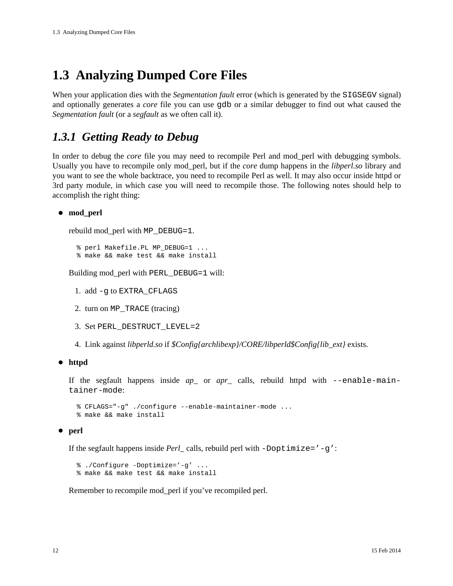# <span id="page-11-0"></span>**1.3 Analyzing Dumped Core Files**

When your application dies with the *Segmentation fault* error (which is generated by the SIGSEGV signal) and optionally generates a *core* file you can use gdb or a similar debugger to find out what caused the *Segmentation fault* (or a *segfault* as we often call it).

### <span id="page-11-1"></span>*1.3.1 Getting Ready to Debug*

In order to debug the *core* file you may need to recompile Perl and mod\_perl with debugging symbols. Usually you have to recompile only mod\_perl, but if the *core* dump happens in the *libperl.so* library and you want to see the whole backtrace, you need to recompile Perl as well. It may also occur inside httpd or 3rd party module, in which case you will need to recompile those. The following notes should help to accomplish the right thing:

**mod\_perl**

rebuild mod\_perl with MP\_DEBUG=1.

 % perl Makefile.PL MP\_DEBUG=1 ... % make && make test && make install

Building mod\_perl with PERL\_DEBUG=1 will:

- 1. add -g to EXTRA\_CFLAGS
- 2. turn on MP\_TRACE (tracing)
- 3. Set PERL\_DESTRUCT\_LEVEL=2
- 4. Link against *libperld.so* if *\$Config{archlibexp}/CORE/libperld\$Config{lib\_ext}* exists.

### **httpd**

If the segfault happens inside *ap\_* or *apr\_* calls, rebuild httpd with --enable-maintainer-mode:

```
 % CFLAGS="-g" ./configure --enable-maintainer-mode ...
 % make && make install
```
### **perl**

If the segfault happens inside *Perl* calls, rebuild perl with  $-D$ optimize='-q':

 % ./Configure -Doptimize='-g' ... % make && make test && make install

Remember to recompile mod\_perl if you've recompiled perl.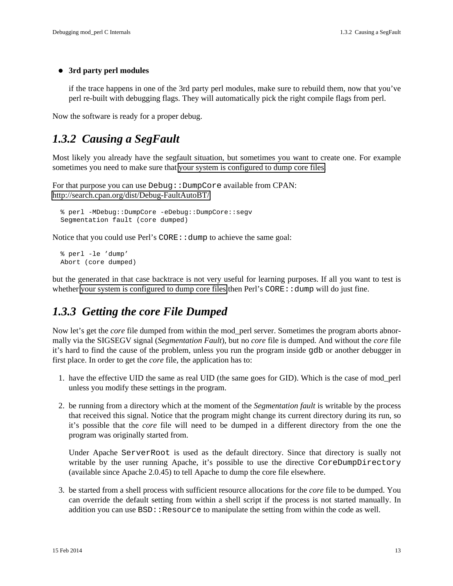### **3rd party perl modules**

if the trace happens in one of the 3rd party perl modules, make sure to rebuild them, now that you've perl re-built with debugging flags. They will automatically pick the right compile flags from perl.

Now the software is ready for a proper debug.

### <span id="page-12-0"></span>*1.3.2 Causing a SegFault*

Most likely you already have the segfault situation, but sometimes you want to create one. For example sometimes you need to make sure that your system is configured to dump core files.

For that purpose you can use Debug:: DumpCore available from CPAN: <http://search.cpan.org/dist/Debug-FaultAutoBT/>

```
 % perl -MDebug::DumpCore -eDebug::DumpCore::segv
 Segmentation fault (core dumped)
```
Notice that you could use Perl's CORE: : dump to achieve the same goal:

```
 % perl -le 'dump'
 Abort (core dumped)
```
but the generated in that case backtrace is not very useful for learning purposes. If all you want to test is whether your system is configured to dump core files then  $Perl's CORE$ : dump will do just fine.

### <span id="page-12-1"></span>*1.3.3 Getting the core File Dumped*

Now let's get the *core* file dumped from within the mod\_perl server. Sometimes the program aborts abnormally via the SIGSEGV signal (*Segmentation Fault*), but no *core* file is dumped. And without the *core* file it's hard to find the cause of the problem, unless you run the program inside gdb or another debugger in first place. In order to get the *core* file, the application has to:

- 1. have the effective UID the same as real UID (the same goes for GID). Which is the case of mod\_perl unless you modify these settings in the program.
- 2. be running from a directory which at the moment of the *Segmentation fault* is writable by the process that received this signal. Notice that the program might change its current directory during its run, so it's possible that the *core* file will need to be dumped in a different directory from the one the program was originally started from.

Under Apache ServerRoot is used as the default directory. Since that directory is sually not writable by the user running Apache, it's possible to use the directive CoreDumpDirectory (available since Apache 2.0.45) to tell Apache to dump the core file elsewhere.

3. be started from a shell process with sufficient resource allocations for the *core* file to be dumped. You can override the default setting from within a shell script if the process is not started manually. In addition you can use  $BSD:REsource$  to manipulate the setting from within the code as well.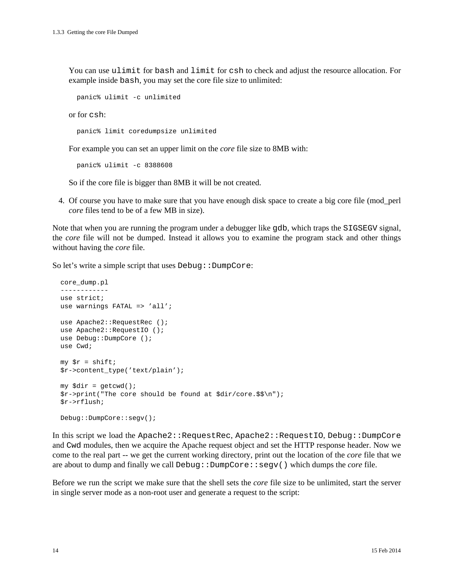You can use ulimit for bash and limit for csh to check and adjust the resource allocation. For example inside bash, you may set the core file size to unlimited:

```
 panic% ulimit -c unlimited
```
or for csh:

panic% limit coredumpsize unlimited

For example you can set an upper limit on the *core* file size to 8MB with:

panic% ulimit -c 8388608

So if the core file is bigger than 8MB it will be not created.

4. Of course you have to make sure that you have enough disk space to create a big core file (mod\_perl *core* files tend to be of a few MB in size).

Note that when you are running the program under a debugger like gdb, which traps the SIGSEGV signal, the *core* file will not be dumped. Instead it allows you to examine the program stack and other things without having the *core* file.

So let's write a simple script that uses  $Debug::DumpCore:$ 

```
 core_dump.pl
 ------------
 use strict;
 use warnings FATAL => 'all';
use Apache2::RequestRec ();
use Apache2::RequestIO ();
 use Debug::DumpCore ();
 use Cwd;
my \zeta r = shift;
 $r->content_type('text/plain');
 my $dir = getcwd();
 $r->print("The core should be found at $dir/core.$$\n");
 $r->rflush;
 Debug::DumpCore::segv();
```
In this script we load the Apache2::RequestRec, Apache2::RequestIO, Debug::DumpCore and Cwd modules, then we acquire the Apache request object and set the HTTP response header. Now we come to the real part -- we get the current working directory, print out the location of the *core* file that we are about to dump and finally we call Debug::DumpCore::segv() which dumps the *core* file.

Before we run the script we make sure that the shell sets the *core* file size to be unlimited, start the server in single server mode as a non-root user and generate a request to the script: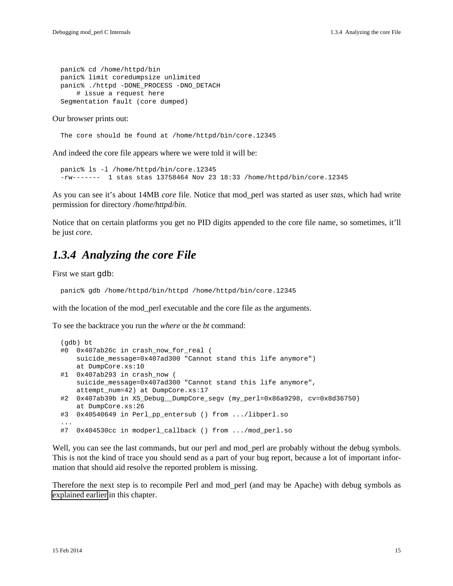panic% cd /home/httpd/bin panic% limit coredumpsize unlimited panic% ./httpd -DONE\_PROCESS -DNO\_DETACH # issue a request here Segmentation fault (core dumped)

#### Our browser prints out:

The core should be found at /home/httpd/bin/core.12345

And indeed the core file appears where we were told it will be:

```
 panic% ls -l /home/httpd/bin/core.12345
 -rw------- 1 stas stas 13758464 Nov 23 18:33 /home/httpd/bin/core.12345
```
As you can see it's about 14MB *core* file. Notice that mod\_perl was started as user *stas*, which had write permission for directory */home/httpd/bin*.

Notice that on certain platforms you get no PID digits appended to the core file name, so sometimes, it'll be just *core*.

### <span id="page-14-0"></span>*1.3.4 Analyzing the core File*

First we start gdb:

```
 panic% gdb /home/httpd/bin/httpd /home/httpd/bin/core.12345
```
with the location of the mod\_perl executable and the core file as the arguments.

To see the backtrace you run the *where* or the *bt* command:

```
 (gdb) bt
  #0 0x407ab26c in crash_now_for_real (
      suicide_message=0x407ad300 "Cannot stand this life anymore")
      at DumpCore.xs:10
  #1 0x407ab293 in crash_now (
      suicide_message=0x407ad300 "Cannot stand this life anymore",
      attempt_num=42) at DumpCore.xs:17
  #2 0x407ab39b in XS_Debug__DumpCore_segv (my_perl=0x86a9298, cv=0x8d36750)
      at DumpCore.xs:26
  #3 0x40540649 in Perl_pp_entersub () from .../libperl.so
 ...
  #7 0x404530cc in modperl_callback () from .../mod_perl.so
```
Well, you can see the last commands, but our perl and mod\_perl are probably without the debug symbols. This is not the kind of trace you should send as a part of your bug report, because a lot of important information that should aid resolve the reported problem is missing.

Therefore the next step is to recompile Perl and mod\_perl (and may be Apache) with debug symbols as explained earlier in this chapter.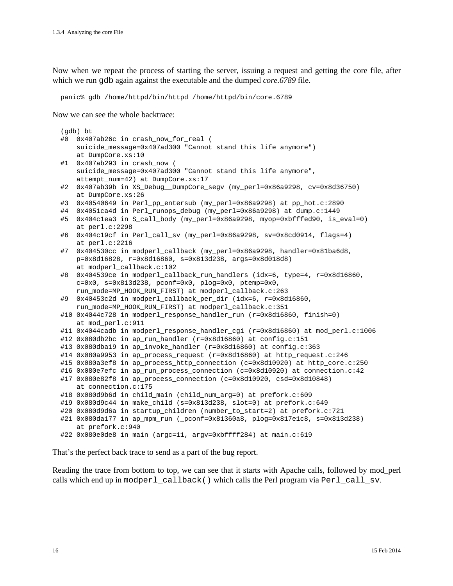Now when we repeat the process of starting the server, issuing a request and getting the core file, after which we run gdb again against the executable and the dumped *core.6789* file.

panic% gdb /home/httpd/bin/httpd /home/httpd/bin/core.6789

Now we can see the whole backtrace:

```
 (gdb) bt
 #0 0x407ab26c in crash_now_for_real (
    suicide_message=0x407ad300 "Cannot stand this life anymore")
    at DumpCore.xs:10
 #1 0x407ab293 in crash_now (
    suicide_message=0x407ad300 "Cannot stand this life anymore",
    attempt_num=42) at DumpCore.xs:17
 #2 0x407ab39b in XS_Debug__DumpCore_segv (my_perl=0x86a9298, cv=0x8d36750)
    at DumpCore.xs:26
 #3 0x40540649 in Perl_pp_entersub (my_perl=0x86a9298) at pp_hot.c:2890
 #4 0x4051ca4d in Perl_runops_debug (my_perl=0x86a9298) at dump.c:1449
 #5 0x404c1ea3 in S_call_body (my_perl=0x86a9298, myop=0xbfffed90, is_eval=0)
    at perl.c:2298
 #6 0x404c19cf in Perl_call_sv (my_perl=0x86a9298, sv=0x8cd0914, flags=4)
    at perl.c:2216
 #7 0x404530cc in modperl_callback (my_perl=0x86a9298, handler=0x81ba6d8,
    p=0x8d16828, r=0x8d16860, s=0x813d238, args=0x8d018d8)
    at modperl_callback.c:102
 #8 0x404539ce in modperl_callback_run_handlers (idx=6, type=4, r=0x8d16860,
   c=0x0, s=0x813d238, pconf=0x0, plog=0x0, ptemp=0x0,
   run mode=MP_HOOK_RUN_FIRST) at modperl_callback.c:263
 #9 0x40453c2d in modperl_callback_per_dir (idx=6, r=0x8d16860,
    run_mode=MP_HOOK_RUN_FIRST) at modperl_callback.c:351
#10 0x4044c728 in modperl response handler run (r=0x8d16860, finish=0)
    at mod_perl.c:911
 #11 0x4044cadb in modperl_response_handler_cgi (r=0x8d16860) at mod_perl.c:1006
 #12 0x080db2bc in ap_run_handler (r=0x8d16860) at config.c:151
 #13 0x080dba19 in ap_invoke_handler (r=0x8d16860) at config.c:363
#14 0x080a9953 in ap_process_request (r=0x8d16860) at http_request.c:246
 #15 0x080a3ef8 in ap_process_http_connection (c=0x8d10920) at http_core.c:250
 #16 0x080e7efc in ap_run_process_connection (c=0x8d10920) at connection.c:42
 #17 0x080e82f8 in ap_process_connection (c=0x8d10920, csd=0x8d10848)
    at connection.c:175
 #18 0x080d9b6d in child_main (child_num_arg=0) at prefork.c:609
 #19 0x080d9c44 in make_child (s=0x813d238, slot=0) at prefork.c:649
 #20 0x080d9d6a in startup_children (number_to_start=2) at prefork.c:721
 #21 0x080da177 in ap_mpm_run (_pconf=0x81360a8, plog=0x817e1c8, s=0x813d238)
    at prefork.c:940
 #22 0x080e0de8 in main (argc=11, argv=0xbffff284) at main.c:619
```
That's the perfect back trace to send as a part of the bug report.

Reading the trace from bottom to top, we can see that it starts with Apache calls, followed by mod\_perl calls which end up in modperl\_callback() which calls the Perl program via Perl\_call\_sv.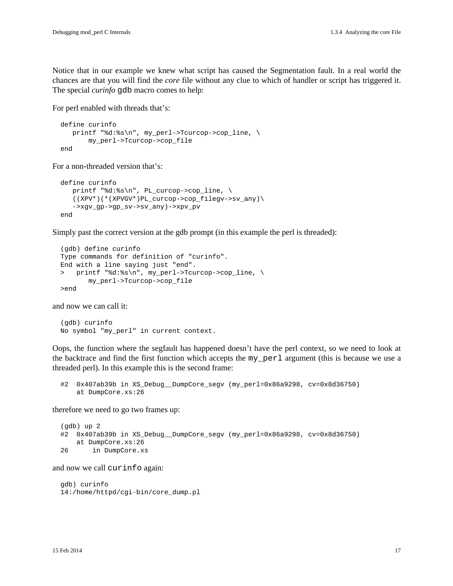Notice that in our example we knew what script has caused the Segmentation fault. In a real world the chances are that you will find the *core* file without any clue to which of handler or script has triggered it. The special *curinfo* gdb macro comes to help:

For perl enabled with threads that's:

```
 define curinfo
   printf "%d:%s\n", my_perl->Tcurcop->cop_line, \
        my_perl->Tcurcop->cop_file
 end
```
For a non-threaded version that's:

```
 define curinfo
  printf "%d:%s\n", PL_curcop->cop_line, \
    ((XPV*)(*(XPVGV*)PL_curcop->cop_filegv->sv_any)\
    ->xgv_gp->gp_sv->sv_any)->xpv_pv
 end
```
Simply past the correct version at the gdb prompt (in this example the perl is threaded):

```
 (gdb) define curinfo
 Type commands for definition of "curinfo".
 End with a line saying just "end".
 > printf "%d:%s\n", my_perl->Tcurcop->cop_line, \
        my_perl->Tcurcop->cop_file
 >end
```
and now we can call it:

```
 (gdb) curinfo
 No symbol "my_perl" in current context.
```
Oops, the function where the segfault has happened doesn't have the perl context, so we need to look at the backtrace and find the first function which accepts the my\_perl argument (this is because we use a threaded perl). In this example this is the second frame:

```
 #2 0x407ab39b in XS_Debug__DumpCore_segv (my_perl=0x86a9298, cv=0x8d36750)
    at DumpCore.xs:26
```
therefore we need to go two frames up:

```
 (gdb) up 2
 #2 0x407ab39b in XS_Debug__DumpCore_segv (my_perl=0x86a9298, cv=0x8d36750)
    at DumpCore.xs:26
 26 in DumpCore.xs
```
and now we call curinfo again:

```
 gdb) curinfo
 14:/home/httpd/cgi-bin/core_dump.pl
```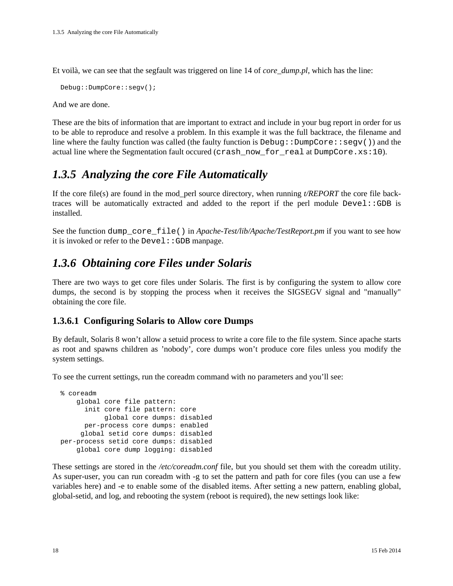Et voilà, we can see that the segfault was triggered on line 14 of *core\_dump.pl*, which has the line:

```
 Debug::DumpCore::segv();
```
And we are done.

These are the bits of information that are important to extract and include in your bug report in order for us to be able to reproduce and resolve a problem. In this example it was the full backtrace, the filename and line where the faulty function was called (the faulty function is  $Debug: DumpCore::segv()$ ) and the actual line where the Segmentation fault occured (crash\_now\_for\_real at DumpCore.xs:10).

## <span id="page-17-0"></span>*1.3.5 Analyzing the core File Automatically*

If the core file(s) are found in the mod\_perl source directory, when running *t/REPORT* the core file backtraces will be automatically extracted and added to the report if the perl module Devel::GDB is installed.

See the function dump\_core\_file() in *Apache-Test/lib/Apache/TestReport.pm* if you want to see how it is invoked or refer to the  $Devel::GDB$  manpage.

### <span id="page-17-1"></span>*1.3.6 Obtaining core Files under Solaris*

There are two ways to get core files under Solaris. The first is by configuring the system to allow core dumps, the second is by stopping the process when it receives the SIGSEGV signal and "manually" obtaining the core file.

### <span id="page-17-2"></span>**1.3.6.1 Configuring Solaris to Allow core Dumps**

By default, Solaris 8 won't allow a setuid process to write a core file to the file system. Since apache starts as root and spawns children as 'nobody', core dumps won't produce core files unless you modify the system settings.

To see the current settings, run the coreadm command with no parameters and you'll see:

```
 % coreadm
     global core file pattern:
       init core file pattern: core
            global core dumps: disabled
       per-process core dumps: enabled
      global setid core dumps: disabled
 per-process setid core dumps: disabled
     global core dump logging: disabled
```
These settings are stored in the */etc/coreadm.conf* file, but you should set them with the coreadm utility. As super-user, you can run coreadm with -g to set the pattern and path for core files (you can use a few variables here) and -e to enable some of the disabled items. After setting a new pattern, enabling global, global-setid, and log, and rebooting the system (reboot is required), the new settings look like: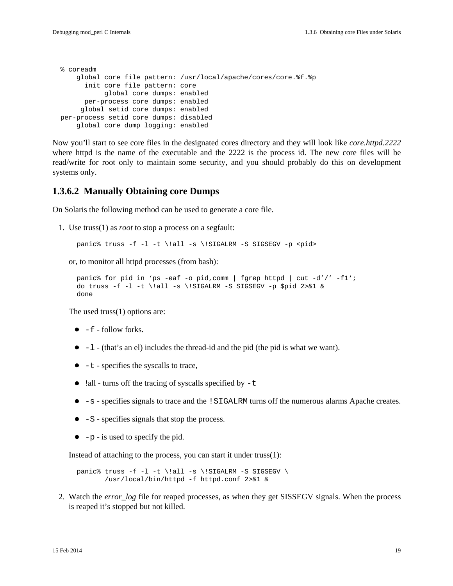```
 % coreadm
     global core file pattern: /usr/local/apache/cores/core.%f.%p
       init core file pattern: core
            global core dumps: enabled
       per-process core dumps: enabled
      global setid core dumps: enabled
 per-process setid core dumps: disabled
     global core dump logging: enabled
```
Now you'll start to see core files in the designated cores directory and they will look like *core.httpd.2222* where httpd is the name of the executable and the 2222 is the process id. The new core files will be read/write for root only to maintain some security, and you should probably do this on development systems only.

### <span id="page-18-0"></span>**1.3.6.2 Manually Obtaining core Dumps**

On Solaris the following method can be used to generate a core file.

1. Use truss(1) as *root* to stop a process on a segfault:

```
panic% truss -f -l -t \!all -s \!SIGALRM -S SIGSEGV -p <pid>
```
or, to monitor all httpd processes (from bash):

```
 panic% for pid in 'ps -eaf -o pid,comm | fgrep httpd | cut -d'/' -f1';
do truss -f -1 -t \leq -s \iotaSIGALRM -S SIGSEGV -p $pid 2>&1 &
 done
```
The used truss(1) options are:

- $\bullet$  -f follow forks.
- -l (that's an el) includes the thread-id and the pid (the pid is what we want).
- $\bullet$  -t specifies the syscalls to trace,
- $\bullet$  !all turns off the tracing of syscalls specified by  $-t$
- -s specifies signals to trace and the !SIGALRM turns off the numerous alarms Apache creates.
- $\bullet$  -S specifies signals that stop the process.
- $\bullet$  -p is used to specify the pid.

Instead of attaching to the process, you can start it under truss(1):

panic% truss -f -l -t \!all -s \!SIGALRM -S SIGSEGV \ /usr/local/bin/httpd -f httpd.conf 2>&1 &

2. Watch the *error\_log* file for reaped processes, as when they get SISSEGV signals. When the process is reaped it's stopped but not killed.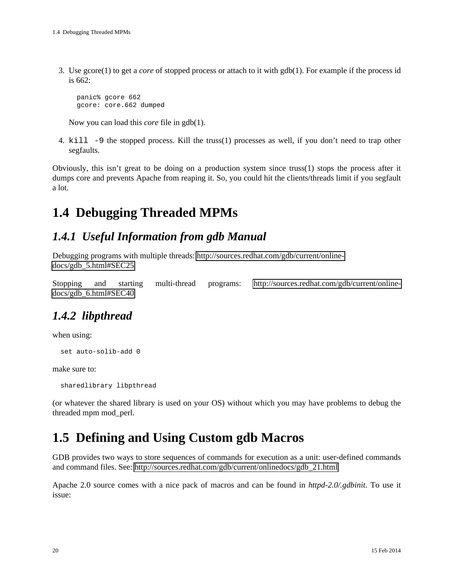3. Use gcore(1) to get a *core* of stopped process or attach to it with gdb(1). For example if the process id is 662:

 panic% gcore 662 gcore: core.662 dumped

Now you can load this *core* file in gdb(1).

4. kill -9 the stopped process. Kill the truss(1) processes as well, if you don't need to trap other segfaults.

Obviously, this isn't great to be doing on a production system since truss(1) stops the process after it dumps core and prevents Apache from reaping it. So, you could hit the clients/threads limit if you segfault a lot.

# <span id="page-19-0"></span>**1.4 Debugging Threaded MPMs**

### <span id="page-19-1"></span>*1.4.1 Useful Information from gdb Manual*

Debugging programs with multiple threads: [http://sources.redhat.com/gdb/current/online](http://sources.redhat.com/gdb/current/onlinedocs/gdb_5.html#SEC25)[docs/gdb\\_5.html#SEC25](http://sources.redhat.com/gdb/current/onlinedocs/gdb_5.html#SEC25)

Stopping and starting multi-thread programs: [http://sources.redhat.com/gdb/current/online](http://sources.redhat.com/gdb/current/onlinedocs/gdb_6.html#SEC40)[docs/gdb\\_6.html#SEC40](http://sources.redhat.com/gdb/current/onlinedocs/gdb_6.html#SEC40)

## <span id="page-19-2"></span>*1.4.2 libpthread*

when using:

set auto-solib-add 0

make sure to:

sharedlibrary libpthread

(or whatever the shared library is used on your OS) without which you may have problems to debug the threaded mpm mod\_perl.

# <span id="page-19-3"></span>**1.5 Defining and Using Custom gdb Macros**

GDB provides two ways to store sequences of commands for execution as a unit: user-defined commands and command files. See: [http://sources.redhat.com/gdb/current/onlinedocs/gdb\\_21.html](http://sources.redhat.com/gdb/current/onlinedocs/gdb_21.html)

Apache 2.0 source comes with a nice pack of macros and can be found in *httpd-2.0/.gdbinit*. To use it issue: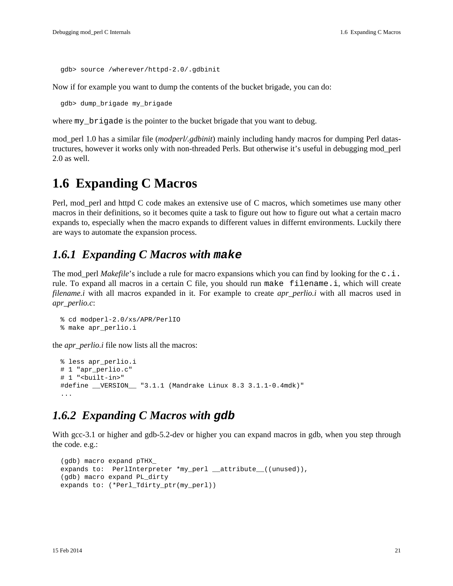gdb> source /wherever/httpd-2.0/.gdbinit

Now if for example you want to dump the contents of the bucket brigade, you can do:

gdb> dump\_brigade my\_brigade

where my\_brigade is the pointer to the bucket brigade that you want to debug.

mod\_perl 1.0 has a similar file (*modperl/.gdbinit*) mainly including handy macros for dumping Perl datastructures, however it works only with non-threaded Perls. But otherwise it's useful in debugging mod\_perl 2.0 as well.

## <span id="page-20-0"></span>**1.6 Expanding C Macros**

Perl, mod\_perl and httpd C code makes an extensive use of C macros, which sometimes use many other macros in their definitions, so it becomes quite a task to figure out how to figure out what a certain macro expands to, especially when the macro expands to different values in differnt environments. Luckily there are ways to automate the expansion process.

### <span id="page-20-1"></span>*1.6.1 Expanding C Macros with* **make**

The mod\_perl *Makefile*'s include a rule for macro expansions which you can find by looking for the  $c \cdot i$ . rule. To expand all macros in a certain C file, you should run make filename.i, which will create *filename.i* with all macros expanded in it. For example to create *apr\_perlio.i* with all macros used in *apr\_perlio.c*:

```
 % cd modperl-2.0/xs/APR/PerlIO
 % make apr_perlio.i
```
the *apr\_perlio.i* file now lists all the macros:

```
 % less apr_perlio.i
  # 1 "apr_perlio.c"
  # 1 "<built-in>"
  #define __VERSION__ "3.1.1 (Mandrake Linux 8.3 3.1.1-0.4mdk)"
 ...
```
### <span id="page-20-2"></span>*1.6.2 Expanding C Macros with* **gdb**

With gcc-3.1 or higher and gdb-5.2-dev or higher you can expand macros in gdb, when you step through the code. e.g.:

```
 (gdb) macro expand pTHX_
expands to: PerlInterpreter *my_perl __attribute_((unused)),
 (gdb) macro expand PL_dirty
 expands to: (*Perl_Tdirty_ptr(my_perl))
```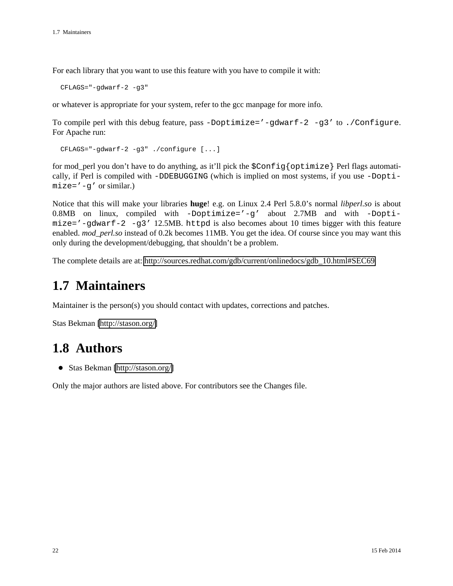For each library that you want to use this feature with you have to compile it with:

CFLAGS="-gdwarf-2 -g3"

or whatever is appropriate for your system, refer to the gcc manpage for more info.

To compile perl with this debug feature, pass  $-D$ optimize='-qdwarf-2 -q3' to ./Configure. For Apache run:

```
 CFLAGS="-gdwarf-2 -g3" ./configure [...]
```
for mod\_perl you don't have to do anything, as it'll pick the \$Config{optimize} Perl flags automatically, if Perl is compiled with -DDEBUGGING (which is implied on most systems, if you use -Dopti $mize=' -q'$  or similar.)

Notice that this will make your libraries **huge**! e.g. on Linux 2.4 Perl 5.8.0's normal *libperl.so* is about 0.8MB on linux, compiled with -Doptimize='-g' about 2.7MB and with -Dopti $mize=' -gdwarf-2 -g3' 12.5MB$ . httpd is also becomes about 10 times bigger with this feature enabled. *mod\_perl.so* instead of 0.2k becomes 11MB. You get the idea. Of course since you may want this only during the development/debugging, that shouldn't be a problem.

The complete details are at: [http://sources.redhat.com/gdb/current/onlinedocs/gdb\\_10.html#SEC69](http://sources.redhat.com/gdb/current/onlinedocs/gdb_10.html#SEC69)

# <span id="page-21-0"></span>**1.7 Maintainers**

Maintainer is the person(s) you should contact with updates, corrections and patches.

Stas Bekman [\[http://stason.org/\]](http://stason.org/)

# <span id="page-21-1"></span>**1.8 Authors**

Stas Bekman [\[http://stason.org/\]](http://stason.org/)

Only the major authors are listed above. For contributors see the Changes file.